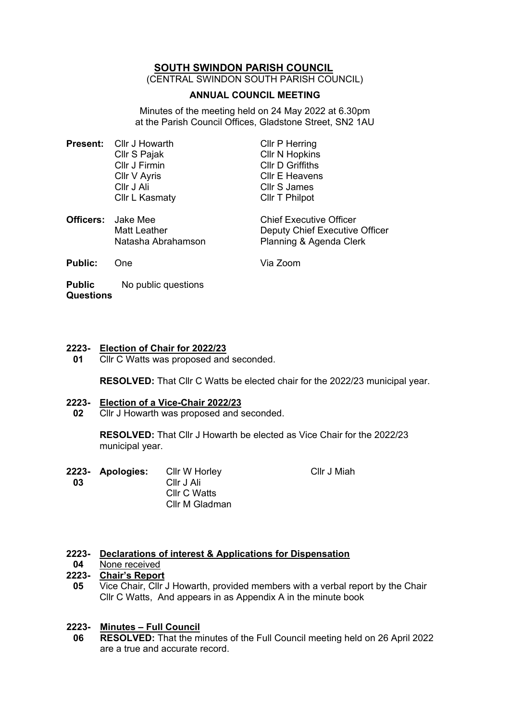# **SOUTH SWINDON PARISH COUNCIL**

(CENTRAL SWINDON SOUTH PARISH COUNCIL)

## **ANNUAL COUNCIL MEETING**

Minutes of the meeting held on 24 May 2022 at 6.30pm at the Parish Council Offices, Gladstone Street, SN2 1AU

|  | <b>Present:</b> Cllr J Howarth | <b>Cllr P Herring</b>          |
|--|--------------------------------|--------------------------------|
|  | Cllr S Pajak                   | <b>Cllr N Hopkins</b>          |
|  | Cllr J Firmin                  | <b>Cllr D Griffiths</b>        |
|  | Cllr V Ayris                   | <b>CIIr E Heavens</b>          |
|  | CIIr J Ali                     | Cllr S James                   |
|  | Cllr L Kasmaty                 | Cllr T Philpot                 |
|  | <b>Officers:</b> Jake Mee      | <b>Chief Executive Officer</b> |
|  | <b>Matt Leather</b>            | Deputy Chief Executive Officer |
|  | Natasha Abrahamson             | Planning & Agenda Clerk        |

| <b>Public:</b> | <b>One</b> |  |
|----------------|------------|--|
|                |            |  |

**Public Questions** No public questions

# **2223- Election of Chair for 2022/23**

**01** Cllr C Watts was proposed and seconded.

**RESOLVED:** That Cllr C Watts be elected chair for the 2022/23 municipal year.

**Via Zoom** 

### **2223- Election of a Vice-Chair 2022/23**

**02** Cllr J Howarth was proposed and seconded.

> **RESOLVED:** That Cllr J Howarth be elected as Vice Chair for the 2022/23 municipal year.

- **2223-**
- **03**
- **Apologies:** Cllr W Horley Cllr J Ali Cllr C Watts Cllr M Gladman

Cllr J Miah

### **2223- Declarations of interest & Applications for Dispensation**

**04** None received

# **2223- Chair's Report**

**05** Vice Chair, Cllr J Howarth, provided members with a verbal report by the Chair Cllr C Watts, And appears in as Appendix A in the minute book

### **2223- Minutes – Full Council**

**06 RESOLVED:** That the minutes of the Full Council meeting held on 26 April 2022 are a true and accurate record.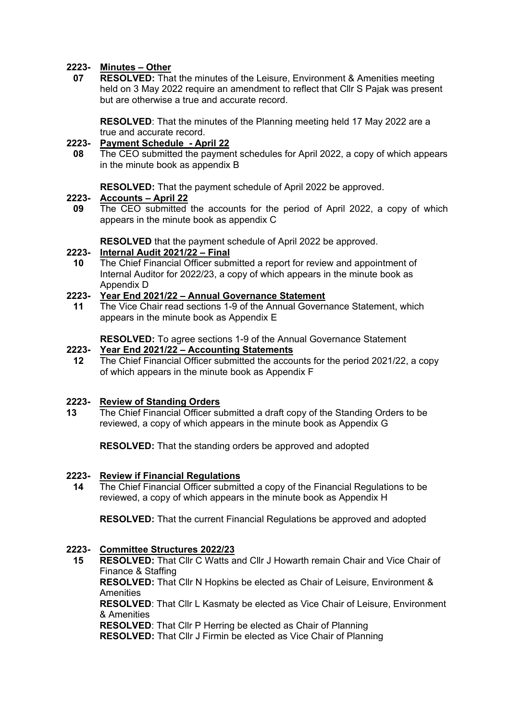# **2223- Minutes – Other**

**07 RESOLVED:** That the minutes of the Leisure, Environment & Amenities meeting held on 3 May 2022 require an amendment to reflect that Cllr S Pajak was present but are otherwise a true and accurate record.

**RESOLVED**: That the minutes of the Planning meeting held 17 May 2022 are a true and accurate record.

# **2223- Payment Schedule - April 22**

**08** The CEO submitted the payment schedules for April 2022, a copy of which appears in the minute book as appendix B

**RESOLVED:** That the payment schedule of April 2022 be approved.

# **2223- Accounts – April 22**

**09** The CEO submitted the accounts for the period of April 2022, a copy of which appears in the minute book as appendix C

**RESOLVED** that the payment schedule of April 2022 be approved.

### **2223- Internal Audit 2021/22 – Final**

**10** The Chief Financial Officer submitted a report for review and appointment of Internal Auditor for 2022/23, a copy of which appears in the minute book as Appendix D

# **2223- Year End 2021/22 – Annual Governance Statement**

**11** The Vice Chair read sections 1-9 of the Annual Governance Statement, which appears in the minute book as Appendix E

**RESOLVED:** To agree sections 1-9 of the Annual Governance Statement

### **2223- Year End 2021/22 – Accounting Statements**

**12** The Chief Financial Officer submitted the accounts for the period 2021/22, a copy of which appears in the minute book as Appendix F

### **2223- Review of Standing Orders**

**13** The Chief Financial Officer submitted a draft copy of the Standing Orders to be reviewed, a copy of which appears in the minute book as Appendix G

**RESOLVED:** That the standing orders be approved and adopted

### **2223- Review if Financial Regulations**

**14** The Chief Financial Officer submitted a copy of the Financial Regulations to be reviewed, a copy of which appears in the minute book as Appendix H

**RESOLVED:** That the current Financial Regulations be approved and adopted

# **2223- Committee Structures 2022/23**

**15 RESOLVED:** That Cllr C Watts and Cllr J Howarth remain Chair and Vice Chair of Finance & Staffing **RESOLVED:** That Cllr N Hopkins be elected as Chair of Leisure, Environment & Amenities **RESOLVED**: That Cllr L Kasmaty be elected as Vice Chair of Leisure, Environment & Amenities **RESOLVED**: That Cllr P Herring be elected as Chair of Planning **RESOLVED:** That Cllr J Firmin be elected as Vice Chair of Planning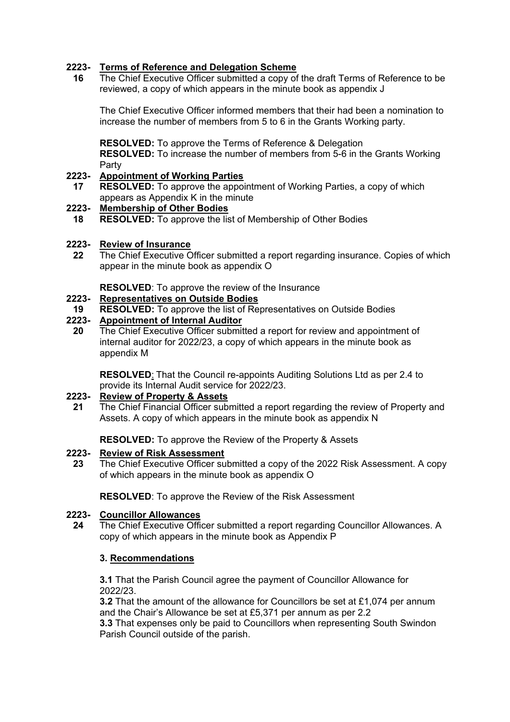# **2223- Terms of Reference and Delegation Scheme**

**16** The Chief Executive Officer submitted a copy of the draft Terms of Reference to be reviewed, a copy of which appears in the minute book as appendix J

The Chief Executive Officer informed members that their had been a nomination to increase the number of members from 5 to 6 in the Grants Working party.

**RESOLVED:** To approve the Terms of Reference & Delegation **RESOLVED:** To increase the number of members from 5-6 in the Grants Working Party

### **2223- Appointment of Working Parties**

**17 RESOLVED:** To approve the appointment of Working Parties, a copy of which appears as Appendix K in the minute

### **2223- Membership of Other Bodies**

**18 RESOLVED:** To approve the list of Membership of Other Bodies

### **2223- Review of Insurance**

**22** The Chief Executive Officer submitted a report regarding insurance. Copies of which appear in the minute book as appendix O

# **RESOLVED:** To approve the review of the Insurance

## **2223- Representatives on Outside Bodies**

**19 RESOLVED:** To approve the list of Representatives on Outside Bodies

### **2223- Appointment of Internal Auditor**

**20** The Chief Executive Officer submitted a report for review and appointment of internal auditor for 2022/23, a copy of which appears in the minute book as appendix M

**RESOLVED**: That the Council re-appoints Auditing Solutions Ltd as per 2.4 to provide its Internal Audit service for 2022/23.

### **2223- Review of Property & Assets**

**21** The Chief Financial Officer submitted a report regarding the review of Property and Assets. A copy of which appears in the minute book as appendix N

**RESOLVED:** To approve the Review of the Property & Assets

### **2223- Review of Risk Assessment**

**23** The Chief Executive Officer submitted a copy of the 2022 Risk Assessment. A copy of which appears in the minute book as appendix O

**RESOLVED**: To approve the Review of the Risk Assessment

### **2223- Councillor Allowances**

**24** The Chief Executive Officer submitted a report regarding Councillor Allowances. A copy of which appears in the minute book as Appendix P

## **3. Recommendations**

**3.1** That the Parish Council agree the payment of Councillor Allowance for 2022/23.

**3.2** That the amount of the allowance for Councillors be set at £1,074 per annum and the Chair's Allowance be set at £5,371 per annum as per 2.2

**3.3** That expenses only be paid to Councillors when representing South Swindon Parish Council outside of the parish.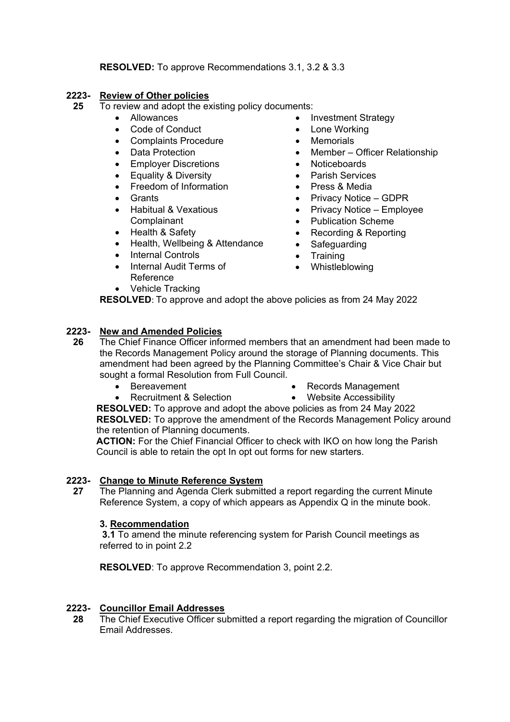# **RESOLVED:** To approve Recommendations 3.1, 3.2 & 3.3

#### **2223- Review of Other policies**

- **25** To review and adopt the existing policy documents:
	- Allowances
	- Code of Conduct
	- Complaints Procedure
	- Data Protection
	- Employer Discretions
	- Equality & Diversity
	- Freedom of Information
	- **Grants**
	- Habitual & Vexatious **Complainant**
	- Health & Safety
	- Health, Wellbeing & Attendance
	- **Internal Controls**
	- Internal Audit Terms of Reference
	- Vehicle Tracking
- Investment Strategy
- Lone Working
- Memorials
- Member Officer Relationship
- Noticeboards
- Parish Services
- Press & Media
- Privacy Notice GDPR
- Privacy Notice Employee
- Publication Scheme
- Recording & Reporting
- Safeguarding
- Training
- Whistleblowing

**RESOLVED**: To approve and adopt the above policies as from 24 May 2022

### **2223- New and Amended Policies**

- **26** The Chief Finance Officer informed members that an amendment had been made to the Records Management Policy around the storage of Planning documents. This amendment had been agreed by the Planning Committee's Chair & Vice Chair but sought a formal Resolution from Full Council.
	- Bereavement
		- Recruitment & Selection
- Records Management
- Website Accessibility **RESOLVED:** To approve and adopt the above policies as from 24 May 2022 **RESOLVED:** To approve the amendment of the Records Management Policy around

the retention of Planning documents. **ACTION:** For the Chief Financial Officer to check with IKO on how long the Parish Council is able to retain the opt In opt out forms for new starters.

### **2223- Change to Minute Reference System**

**27** The Planning and Agenda Clerk submitted a report regarding the current Minute Reference System, a copy of which appears as Appendix Q in the minute book.

### **3. Recommendation**

**3.1** To amend the minute referencing system for Parish Council meetings as referred to in point 2.2

**RESOLVED**: To approve Recommendation 3, point 2.2.

### **2223- Councillor Email Addresses**

**28** The Chief Executive Officer submitted a report regarding the migration of Councillor Email Addresses.